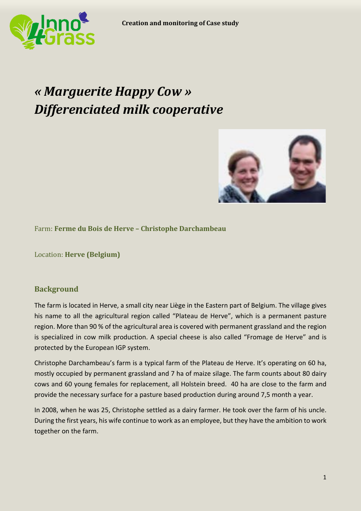

# *« Marguerite Happy Cow » Differenciated milk cooperative*



Farm: **Ferme du Bois de Herve – Christophe Darchambeau**

Location: **Herve (Belgium)**

# **Background**

The farm is located in Herve, a small city near Liège in the Eastern part of Belgium. The village gives his name to all the agricultural region called "Plateau de Herve", which is a permanent pasture region. More than 90 % of the agricultural area is covered with permanent grassland and the region is specialized in cow milk production. A special cheese is also called "Fromage de Herve" and is protected by the European IGP system.

Christophe Darchambeau's farm is a typical farm of the Plateau de Herve. It's operating on 60 ha, mostly occupied by permanent grassland and 7 ha of maize silage. The farm counts about 80 dairy cows and 60 young females for replacement, all Holstein breed. 40 ha are close to the farm and provide the necessary surface for a pasture based production during around 7,5 month a year.

In 2008, when he was 25, Christophe settled as a dairy farmer. He took over the farm of his uncle. During the first years, his wife continue to work as an employee, but they have the ambition to work together on the farm.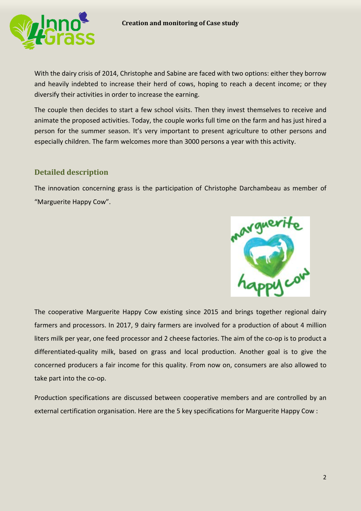

With the dairy crisis of 2014, Christophe and Sabine are faced with two options: either they borrow and heavily indebted to increase their herd of cows, hoping to reach a decent income; or they diversify their activities in order to increase the earning.

The couple then decides to start a few school visits. Then they invest themselves to receive and animate the proposed activities. Today, the couple works full time on the farm and has just hired a person for the summer season. It's very important to present agriculture to other persons and especially children. The farm welcomes more than 3000 persons a year with this activity.

# **Detailed description**

The innovation concerning grass is the participation of Christophe Darchambeau as member of "Marguerite Happy Cow".



The cooperative Marguerite Happy Cow existing since 2015 and brings together regional dairy farmers and processors. In 2017, 9 dairy farmers are involved for a production of about 4 million liters milk per year, one feed processor and 2 cheese factories. The aim of the co-op is to product a differentiated-quality milk, based on grass and local production. Another goal is to give the concerned producers a fair income for this quality. From now on, consumers are also allowed to take part into the co-op.

Production specifications are discussed between cooperative members and are controlled by an external certification organisation. Here are the 5 key specifications for Marguerite Happy Cow :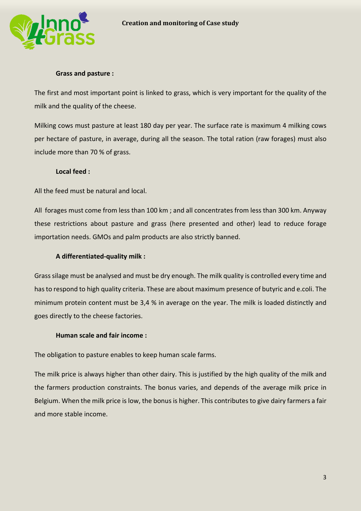

#### **Grass and pasture :**

The first and most important point is linked to grass, which is very important for the quality of the milk and the quality of the cheese.

Milking cows must pasture at least 180 day per year. The surface rate is maximum 4 milking cows per hectare of pasture, in average, during all the season. The total ration (raw forages) must also include more than 70 % of grass.

#### **Local feed :**

All the feed must be natural and local.

All forages must come from less than 100 km ; and all concentrates from less than 300 km. Anyway these restrictions about pasture and grass (here presented and other) lead to reduce forage importation needs. GMOs and palm products are also strictly banned.

## **A differentiated-quality milk :**

Grass silage must be analysed and must be dry enough. The milk quality is controlled every time and has to respond to high quality criteria. These are about maximum presence of butyric and e.coli. The minimum protein content must be 3,4 % in average on the year. The milk is loaded distinctly and goes directly to the cheese factories.

## **Human scale and fair income :**

The obligation to pasture enables to keep human scale farms.

The milk price is always higher than other dairy. This is justified by the high quality of the milk and the farmers production constraints. The bonus varies, and depends of the average milk price in Belgium. When the milk price is low, the bonus is higher. This contributes to give dairy farmers a fair and more stable income.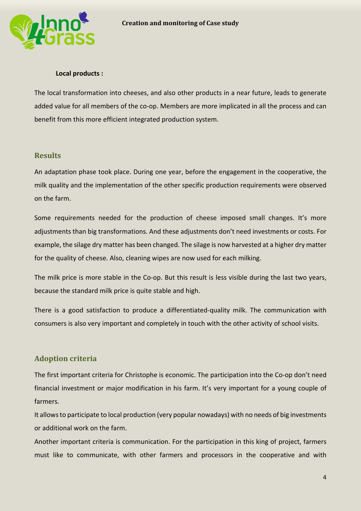

#### **Local products :**

The local transformation into cheeses, and also other products in a near future, leads to generate added value for all members of the co-op. Members are more implicated in all the process and can benefit from this more efficient integrated production system.

#### **Results**

An adaptation phase took place. During one year, before the engagement in the cooperative, the milk quality and the implementation of the other specific production requirements were observed on the farm.

Some requirements needed for the production of cheese imposed small changes. It's more adjustments than big transformations. And these adjustments don't need investments or costs. For example, the silage dry matter has been changed. The silage is now harvested at a higher dry matter for the quality of cheese. Also, cleaning wipes are now used for each milking.

The milk price is more stable in the Co-op. But this result is less visible during the last two years, because the standard milk price is quite stable and high.

There is a good satisfaction to produce a differentiated-quality milk. The communication with consumers is also very important and completely in touch with the other activity of school visits.

## **Adoption criteria**

The first important criteria for Christophe is economic. The participation into the Co-op don't need financial investment or major modification in his farm. It's very important for a young couple of farmers.

It allows to participate to local production (very popular nowadays) with no needs of big investments or additional work on the farm.

Another important criteria is communication. For the participation in this king of project, farmers must like to communicate, with other farmers and processors in the cooperative and with